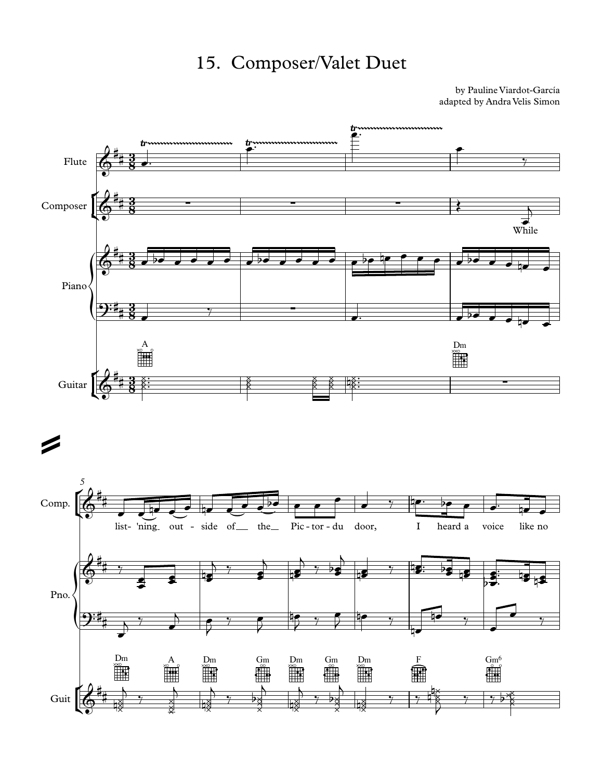## 15. Composer/Valet Duet

by Pauline Viardot-García adapted by Andra Velis Simon

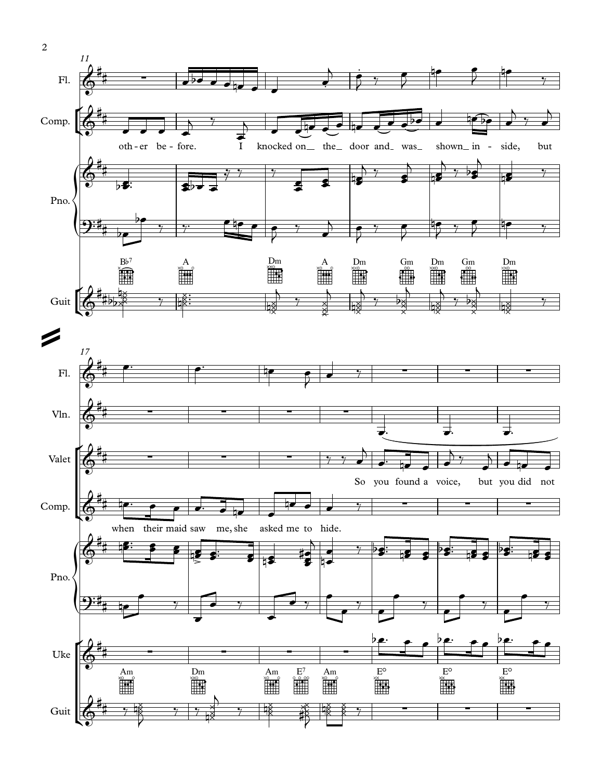

2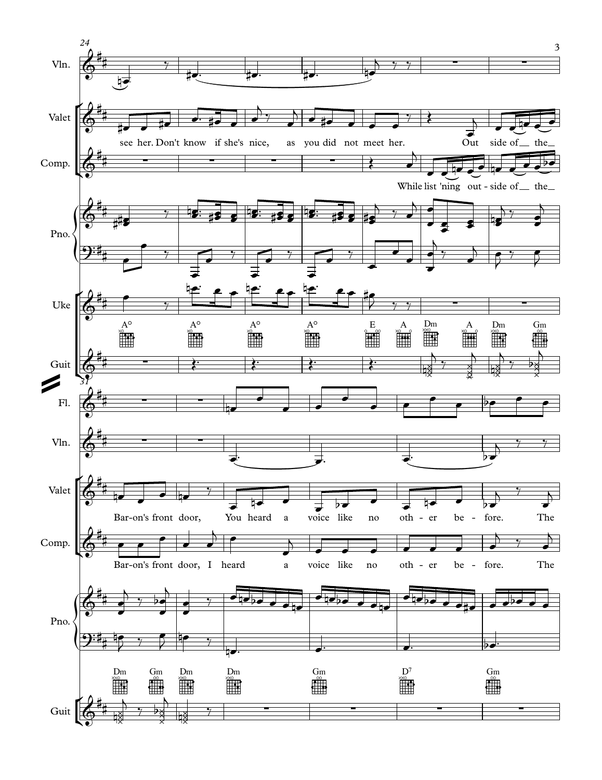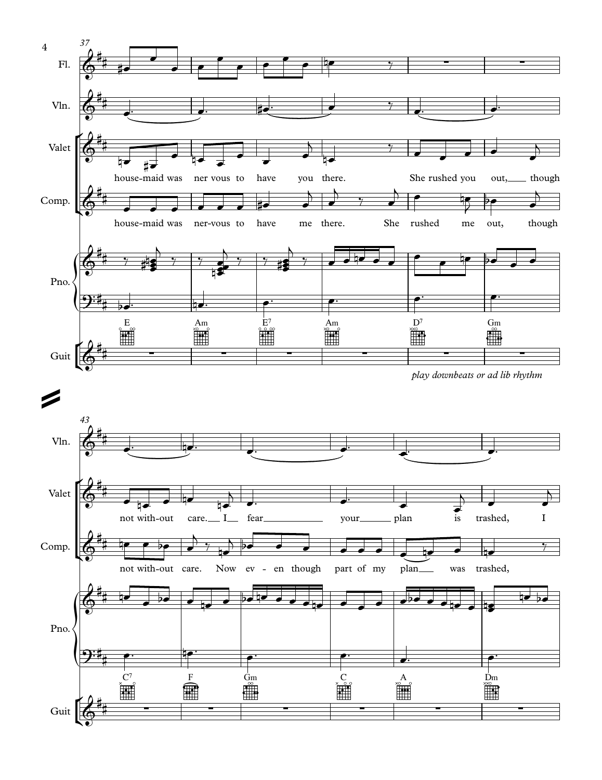